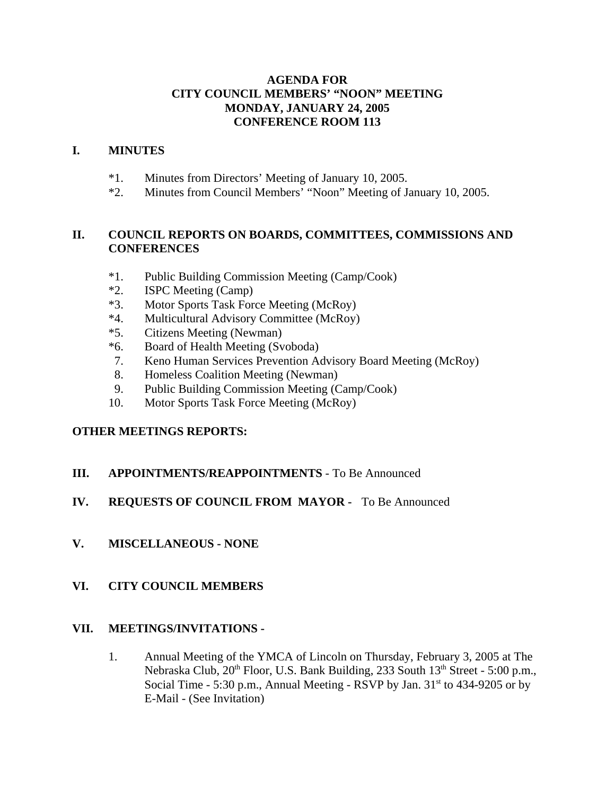## **AGENDA FOR CITY COUNCIL MEMBERS' "NOON" MEETING MONDAY, JANUARY 24, 2005 CONFERENCE ROOM 113**

### **I. MINUTES**

- \*1. Minutes from Directors' Meeting of January 10, 2005.
- \*2. Minutes from Council Members' "Noon" Meeting of January 10, 2005.

# **II. COUNCIL REPORTS ON BOARDS, COMMITTEES, COMMISSIONS AND CONFERENCES**

- \*1. Public Building Commission Meeting (Camp/Cook)
- \*2. ISPC Meeting (Camp)
- \*3. Motor Sports Task Force Meeting (McRoy)
- \*4. Multicultural Advisory Committee (McRoy)
- \*5. Citizens Meeting (Newman)
- \*6. Board of Health Meeting (Svoboda)
- 7. Keno Human Services Prevention Advisory Board Meeting (McRoy)
- 8. Homeless Coalition Meeting (Newman)
- 9. Public Building Commission Meeting (Camp/Cook)
- 10. Motor Sports Task Force Meeting (McRoy)

## **OTHER MEETINGS REPORTS:**

**III. APPOINTMENTS/REAPPOINTMENTS** - To Be Announced

## **IV. REQUESTS OF COUNCIL FROM MAYOR -** To Be Announced

**V. MISCELLANEOUS - NONE**

## **VI. CITY COUNCIL MEMBERS**

## **VII. MEETINGS/INVITATIONS -**

1. Annual Meeting of the YMCA of Lincoln on Thursday, February 3, 2005 at The Nebraska Club, 20<sup>th</sup> Floor, U.S. Bank Building, 233 South 13<sup>th</sup> Street - 5:00 p.m., Social Time - 5:30 p.m., Annual Meeting - RSVP by Jan.  $31<sup>st</sup>$  to 434-9205 or by E-Mail - (See Invitation)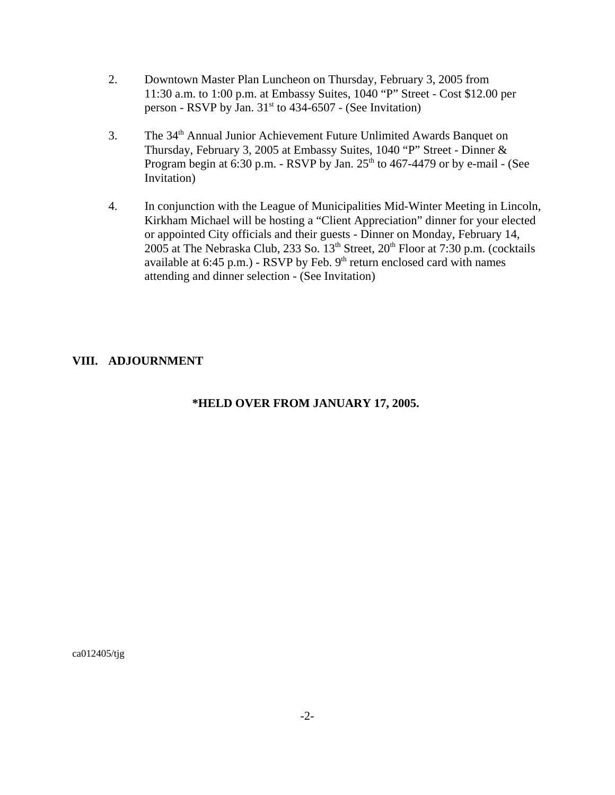- 2. Downtown Master Plan Luncheon on Thursday, February 3, 2005 from 11:30 a.m. to 1:00 p.m. at Embassy Suites, 1040 "P" Street - Cost \$12.00 per person - RSVP by Jan.  $31<sup>st</sup>$  to 434-6507 - (See Invitation)
- 3. The 34<sup>th</sup> Annual Junior Achievement Future Unlimited Awards Banquet on Thursday, February 3, 2005 at Embassy Suites, 1040 "P" Street - Dinner & Program begin at  $6:30$  p.m. - RSVP by Jan.  $25<sup>th</sup>$  to  $467-4479$  or by e-mail - (See Invitation)
- 4. In conjunction with the League of Municipalities Mid-Winter Meeting in Lincoln, Kirkham Michael will be hosting a "Client Appreciation" dinner for your elected or appointed City officials and their guests - Dinner on Monday, February 14, 2005 at The Nebraska Club, 233 So.  $13<sup>th</sup>$  Street,  $20<sup>th</sup>$  Floor at 7:30 p.m. (cocktails available at  $6:45$  p.m.) - RSVP by Feb.  $9<sup>th</sup>$  return enclosed card with names attending and dinner selection - (See Invitation)

# **VIII. ADJOURNMENT**

# **\*HELD OVER FROM JANUARY 17, 2005.**

ca012405/tjg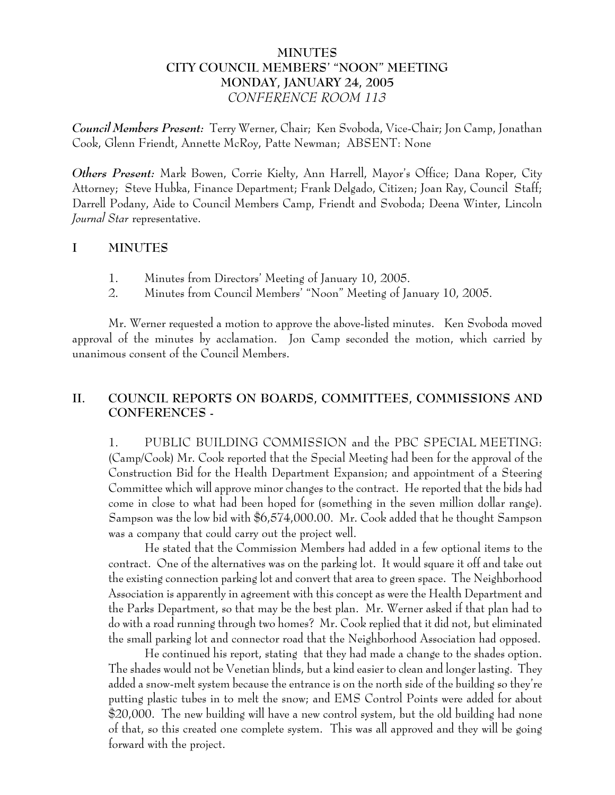# **MINUTES CITY COUNCIL MEMBERS' "NOON" MEETING MONDAY, JANUARY 24, 2005** *CONFERENCE ROOM 113*

*Council Members Present:* Terry Werner, Chair; Ken Svoboda, Vice-Chair; Jon Camp, Jonathan Cook, Glenn Friendt, Annette McRoy, Patte Newman; ABSENT: None

*Others Present:* Mark Bowen, Corrie Kielty, Ann Harrell, Mayor's Office; Dana Roper, City Attorney; Steve Hubka, Finance Department; Frank Delgado, Citizen; Joan Ray, Council Staff; Darrell Podany, Aide to Council Members Camp, Friendt and Svoboda; Deena Winter, Lincoln *Journal Star* representative.

## **I MINUTES**

- 1. Minutes from Directors' Meeting of January 10, 2005.
- 2. Minutes from Council Members' "Noon" Meeting of January 10, 2005.

Mr. Werner requested a motion to approve the above-listed minutes. Ken Svoboda moved approval of the minutes by acclamation. Jon Camp seconded the motion, which carried by unanimous consent of the Council Members.

# **II. COUNCIL REPORTS ON BOARDS, COMMITTEES, COMMISSIONS AND CONFERENCES -**

1. PUBLIC BUILDING COMMISSION and the PBC SPECIAL MEETING: (Camp/Cook) Mr. Cook reported that the Special Meeting had been for the approval of the Construction Bid for the Health Department Expansion; and appointment of a Steering Committee which will approve minor changes to the contract. He reported that the bids had come in close to what had been hoped for (something in the seven million dollar range). Sampson was the low bid with \$6,574,000.00. Mr. Cook added that he thought Sampson was a company that could carry out the project well.

He stated that the Commission Members had added in a few optional items to the contract. One of the alternatives was on the parking lot. It would square it off and take out the existing connection parking lot and convert that area to green space. The Neighborhood Association is apparently in agreement with this concept as were the Health Department and the Parks Department, so that may be the best plan. Mr. Werner asked if that plan had to do with a road running through two homes? Mr. Cook replied that it did not, but eliminated the small parking lot and connector road that the Neighborhood Association had opposed.

He continued his report, stating that they had made a change to the shades option. The shades would not be Venetian blinds, but a kind easier to clean and longer lasting. They added a snow-melt system because the entrance is on the north side of the building so they're putting plastic tubes in to melt the snow; and EMS Control Points were added for about \$20,000. The new building will have a new control system, but the old building had none of that, so this created one complete system. This was all approved and they will be going forward with the project.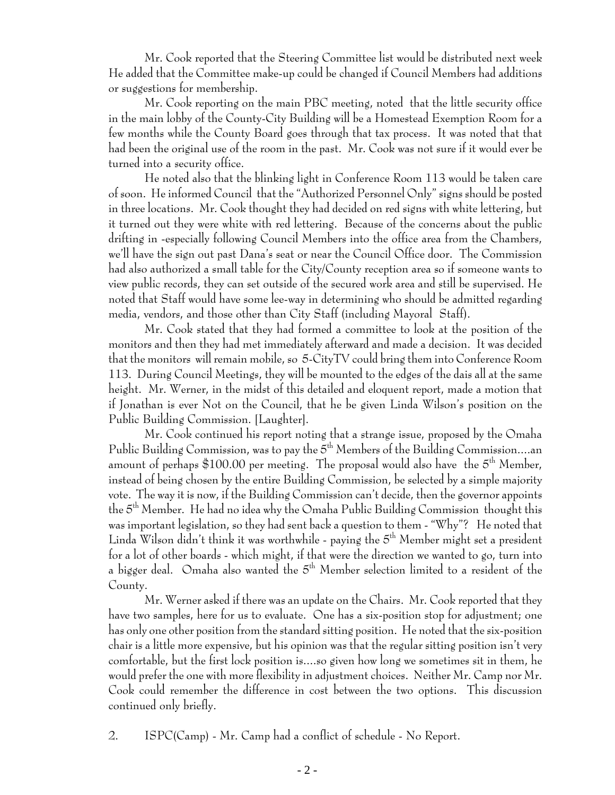Mr. Cook reported that the Steering Committee list would be distributed next week He added that the Committee make-up could be changed if Council Members had additions or suggestions for membership.

Mr. Cook reporting on the main PBC meeting, noted that the little security office in the main lobby of the County-City Building will be a Homestead Exemption Room for a few months while the County Board goes through that tax process. It was noted that that had been the original use of the room in the past. Mr. Cook was not sure if it would ever be turned into a security office.

He noted also that the blinking light in Conference Room 113 would be taken care of soon. He informed Council that the "Authorized Personnel Only" signs should be posted in three locations. Mr. Cook thought they had decided on red signs with white lettering, but it turned out they were white with red lettering. Because of the concerns about the public drifting in -especially following Council Members into the office area from the Chambers, we'll have the sign out past Dana's seat or near the Council Office door. The Commission had also authorized a small table for the City/County reception area so if someone wants to view public records, they can set outside of the secured work area and still be supervised. He noted that Staff would have some lee-way in determining who should be admitted regarding media, vendors, and those other than City Staff (including Mayoral Staff).

Mr. Cook stated that they had formed a committee to look at the position of the monitors and then they had met immediately afterward and made a decision. It was decided that the monitors will remain mobile, so 5-CityTV could bring them into Conference Room 113. During Council Meetings, they will be mounted to the edges of the dais all at the same height. Mr. Werner, in the midst of this detailed and eloquent report, made a motion that if Jonathan is ever Not on the Council, that he be given Linda Wilson's position on the Public Building Commission. [Laughter].

Mr. Cook continued his report noting that a strange issue, proposed by the Omaha Public Building Commission, was to pay the  $5<sup>th</sup>$  Members of the Building Commission....an amount of perhaps  $$100.00$  per meeting. The proposal would also have the  $5<sup>th</sup>$  Member, instead of being chosen by the entire Building Commission, be selected by a simple majority vote. The way it is now, if the Building Commission can't decide, then the governor appoints the 5th Member. He had no idea why the Omaha Public Building Commission thought this was important legislation, so they had sent back a question to them - "Why"? He noted that Linda Wilson didn't think it was worthwhile - paying the  $5<sup>th</sup>$  Member might set a president for a lot of other boards - which might, if that were the direction we wanted to go, turn into a bigger deal. Omaha also wanted the 5<sup>th</sup> Member selection limited to a resident of the County.

Mr. Werner asked if there was an update on the Chairs. Mr. Cook reported that they have two samples, here for us to evaluate. One has a six-position stop for adjustment; one has only one other position from the standard sitting position. He noted that the six-position chair is a little more expensive, but his opinion was that the regular sitting position isn't very comfortable, but the first lock position is....so given how long we sometimes sit in them, he would prefer the one with more flexibility in adjustment choices. Neither Mr. Camp nor Mr. Cook could remember the difference in cost between the two options. This discussion continued only briefly.

2. ISPC(Camp) - Mr. Camp had a conflict of schedule - No Report.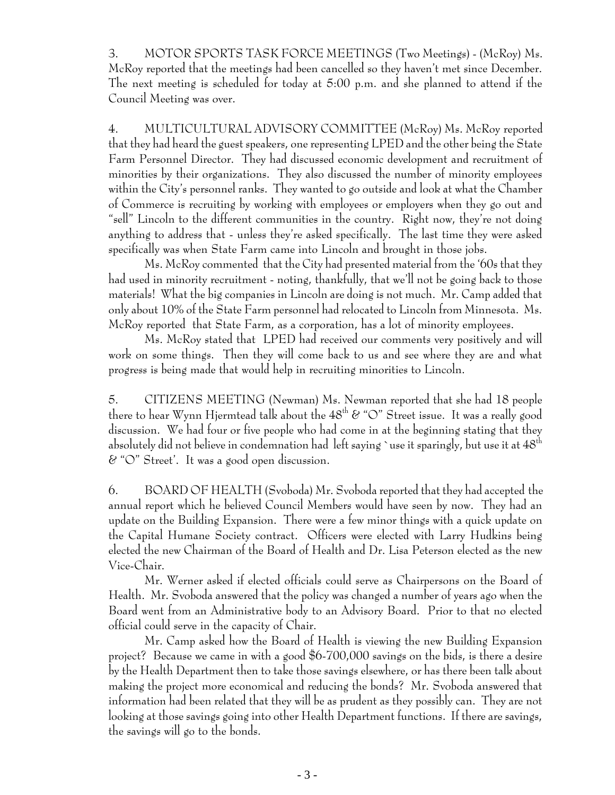3. MOTOR SPORTS TASK FORCE MEETINGS (Two Meetings) - (McRoy) Ms. McRoy reported that the meetings had been cancelled so they haven't met since December. The next meeting is scheduled for today at 5:00 p.m. and she planned to attend if the Council Meeting was over.

4. MULTICULTURAL ADVISORY COMMITTEE (McRoy) Ms. McRoy reported that they had heard the guest speakers, one representing LPED and the other being the State Farm Personnel Director. They had discussed economic development and recruitment of minorities by their organizations. They also discussed the number of minority employees within the City's personnel ranks. They wanted to go outside and look at what the Chamber of Commerce is recruiting by working with employees or employers when they go out and "sell" Lincoln to the different communities in the country. Right now, they're not doing anything to address that - unless they're asked specifically. The last time they were asked specifically was when State Farm came into Lincoln and brought in those jobs.

Ms. McRoy commented that the City had presented material from the '60s that they had used in minority recruitment - noting, thankfully, that we'll not be going back to those materials! What the big companies in Lincoln are doing is not much. Mr. Camp added that only about 10% of the State Farm personnel had relocated to Lincoln from Minnesota. Ms. McRoy reported that State Farm, as a corporation, has a lot of minority employees.

Ms. McRoy stated that LPED had received our comments very positively and will work on some things. Then they will come back to us and see where they are and what progress is being made that would help in recruiting minorities to Lincoln.

5. CITIZENS MEETING (Newman) Ms. Newman reported that she had 18 people there to hear Wynn Hjermtead talk about the  $48^{th}$   $\&$  "O" Street issue. It was a really good discussion. We had four or five people who had come in at the beginning stating that they absolutely did not believe in condemnation had left saying `use it sparingly, but use it at  $48^{\rm th}$ & "O" Street'. It was a good open discussion.

6. BOARD OF HEALTH (Svoboda) Mr. Svoboda reported that they had accepted the annual report which he believed Council Members would have seen by now. They had an update on the Building Expansion. There were a few minor things with a quick update on the Capital Humane Society contract. Officers were elected with Larry Hudkins being elected the new Chairman of the Board of Health and Dr. Lisa Peterson elected as the new Vice-Chair.

Mr. Werner asked if elected officials could serve as Chairpersons on the Board of Health. Mr. Svoboda answered that the policy was changed a number of years ago when the Board went from an Administrative body to an Advisory Board. Prior to that no elected official could serve in the capacity of Chair.

Mr. Camp asked how the Board of Health is viewing the new Building Expansion project? Because we came in with a good \$6-700,000 savings on the bids, is there a desire by the Health Department then to take those savings elsewhere, or has there been talk about making the project more economical and reducing the bonds? Mr. Svoboda answered that information had been related that they will be as prudent as they possibly can. They are not looking at those savings going into other Health Department functions. If there are savings, the savings will go to the bonds.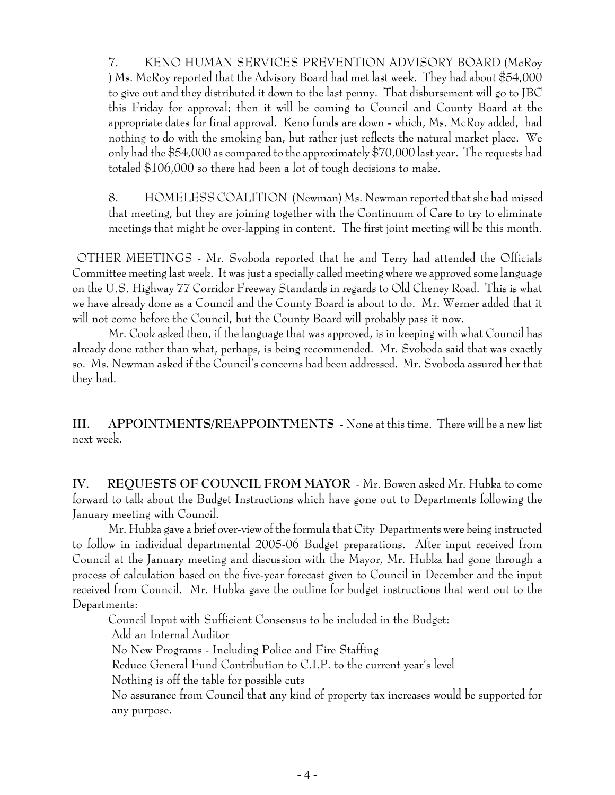7. KENO HUMAN SERVICES PREVENTION ADVISORY BOARD (McRoy ) Ms. McRoy reported that the Advisory Board had met last week. They had about \$54,000 to give out and they distributed it down to the last penny. That disbursement will go to JBC this Friday for approval; then it will be coming to Council and County Board at the appropriate dates for final approval. Keno funds are down - which, Ms. McRoy added, had nothing to do with the smoking ban, but rather just reflects the natural market place. We only had the \$54,000 as compared to the approximately \$70,000 last year. The requests had totaled \$106,000 so there had been a lot of tough decisions to make.

8. HOMELESS COALITION (Newman) Ms. Newman reported that she had missed that meeting, but they are joining together with the Continuum of Care to try to eliminate meetings that might be over-lapping in content. The first joint meeting will be this month.

 OTHER MEETINGS - Mr. Svoboda reported that he and Terry had attended the Officials Committee meeting last week. It was just a specially called meeting where we approved some language on the U.S. Highway 77 Corridor Freeway Standards in regards to Old Cheney Road. This is what we have already done as a Council and the County Board is about to do. Mr. Werner added that it will not come before the Council, but the County Board will probably pass it now.

Mr. Cook asked then, if the language that was approved, is in keeping with what Council has already done rather than what, perhaps, is being recommended. Mr. Svoboda said that was exactly so. Ms. Newman asked if the Council's concerns had been addressed. Mr. Svoboda assured her that they had.

**III. APPOINTMENTS/REAPPOINTMENTS -** None at this time. There will be a new list next week.

**IV. REQUESTS OF COUNCIL FROM MAYOR** - Mr. Bowen asked Mr. Hubka to come forward to talk about the Budget Instructions which have gone out to Departments following the January meeting with Council.

Mr. Hubka gave a brief over-view of the formula that City Departments were being instructed to follow in individual departmental 2005-06 Budget preparations. After input received from Council at the January meeting and discussion with the Mayor, Mr. Hubka had gone through a process of calculation based on the five-year forecast given to Council in December and the input received from Council. Mr. Hubka gave the outline for budget instructions that went out to the Departments:

Council Input with Sufficient Consensus to be included in the Budget: Add an Internal Auditor No New Programs - Including Police and Fire Staffing Reduce General Fund Contribution to C.I.P. to the current year's level Nothing is off the table for possible cuts No assurance from Council that any kind of property tax increases would be supported for any purpose.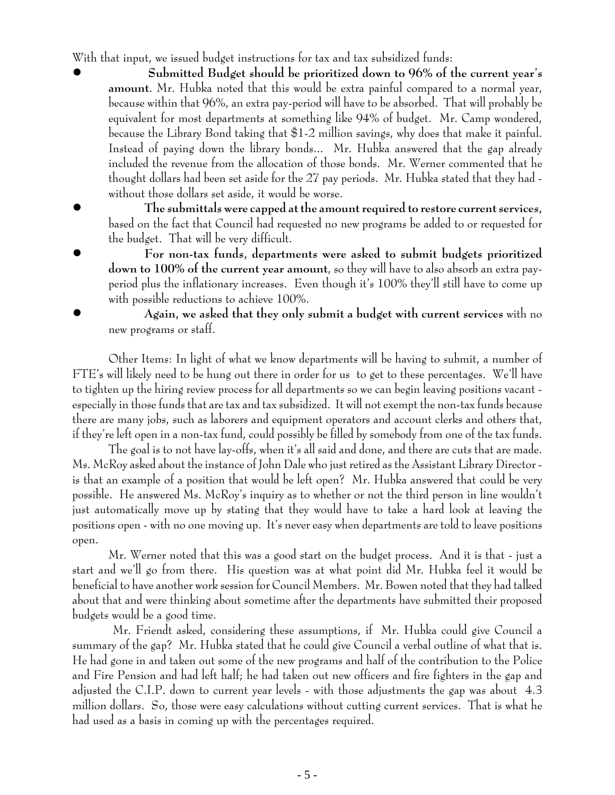With that input, we issued budget instructions for tax and tax subsidized funds:

- ! **Submitted Budget should be prioritized down to 96% of the current year's amount**. Mr. Hubka noted that this would be extra painful compared to a normal year, because within that 96%, an extra pay-period will have to be absorbed. That will probably be equivalent for most departments at something like 94% of budget. Mr. Camp wondered, because the Library Bond taking that \$1-2 million savings, why does that make it painful. Instead of paying down the library bonds... Mr. Hubka answered that the gap already included the revenue from the allocation of those bonds. Mr. Werner commented that he thought dollars had been set aside for the 27 pay periods. Mr. Hubka stated that they had without those dollars set aside, it would be worse.
- ! **The submittals were capped at the amount required to restore current services,** based on the fact that Council had requested no new programs be added to or requested for the budget. That will be very difficult.
	- ! **For non-tax funds, departments were asked to submit budgets prioritized down to 100% of the current year amount**, so they will have to also absorb an extra payperiod plus the inflationary increases. Even though it's 100% they'll still have to come up with possible reductions to achieve 100%.

! **Again, we asked that they only submit a budget with current services** with no new programs or staff.

Other Items: In light of what we know departments will be having to submit, a number of FTE's will likely need to be hung out there in order for us to get to these percentages. We'll have to tighten up the hiring review process for all departments so we can begin leaving positions vacant especially in those funds that are tax and tax subsidized. It will not exempt the non-tax funds because there are many jobs, such as laborers and equipment operators and account clerks and others that, if they're left open in a non-tax fund, could possibly be filled by somebody from one of the tax funds.

The goal is to not have lay-offs, when it's all said and done, and there are cuts that are made. Ms. McRoy asked about the instance of John Dale who just retired as the Assistant Library Director is that an example of a position that would be left open? Mr. Hubka answered that could be very possible. He answered Ms. McRoy's inquiry as to whether or not the third person in line wouldn't just automatically move up by stating that they would have to take a hard look at leaving the positions open - with no one moving up. It's never easy when departments are told to leave positions open.

Mr. Werner noted that this was a good start on the budget process. And it is that - just a start and we'll go from there. His question was at what point did Mr. Hubka feel it would be beneficial to have another work session for Council Members. Mr. Bowen noted that they had talked about that and were thinking about sometime after the departments have submitted their proposed budgets would be a good time.

 Mr. Friendt asked, considering these assumptions, if Mr. Hubka could give Council a summary of the gap? Mr. Hubka stated that he could give Council a verbal outline of what that is. He had gone in and taken out some of the new programs and half of the contribution to the Police and Fire Pension and had left half; he had taken out new officers and fire fighters in the gap and adjusted the C.I.P. down to current year levels - with those adjustments the gap was about 4.3 million dollars. So, those were easy calculations without cutting current services. That is what he had used as a basis in coming up with the percentages required.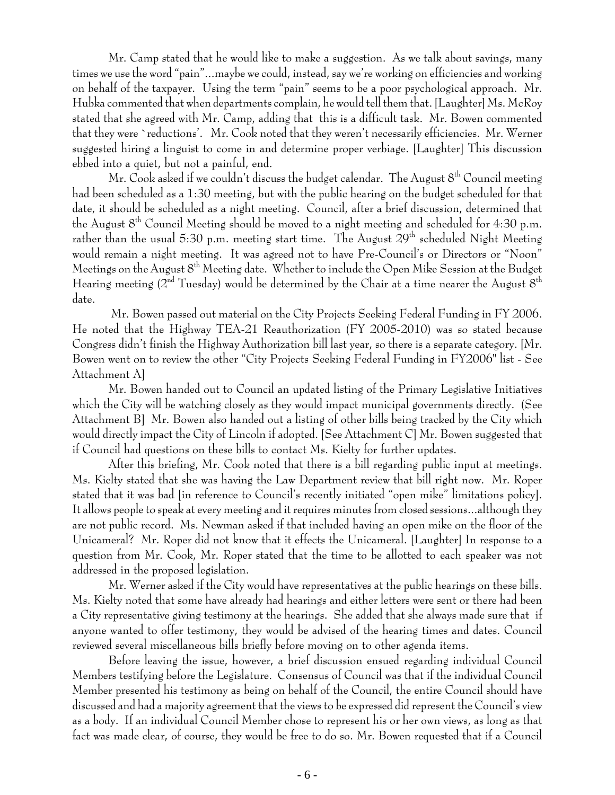Mr. Camp stated that he would like to make a suggestion. As we talk about savings, many times we use the word "pain"...maybe we could, instead, say we're working on efficiencies and working on behalf of the taxpayer. Using the term "pain" seems to be a poor psychological approach. Mr. Hubka commented that when departments complain, he would tell them that. [Laughter] Ms. McRoy stated that she agreed with Mr. Camp, adding that this is a difficult task. Mr. Bowen commented that they were `reductions'. Mr. Cook noted that they weren't necessarily efficiencies. Mr. Werner suggested hiring a linguist to come in and determine proper verbiage. [Laughter] This discussion ebbed into a quiet, but not a painful, end.

Mr. Cook asked if we couldn't discuss the budget calendar. The August 8<sup>th</sup> Council meeting had been scheduled as a 1:30 meeting, but with the public hearing on the budget scheduled for that date, it should be scheduled as a night meeting. Council, after a brief discussion, determined that the August  $8<sup>th</sup>$  Council Meeting should be moved to a night meeting and scheduled for 4:30 p.m. rather than the usual 5:30 p.m. meeting start time. The August  $29<sup>th</sup>$  scheduled Night Meeting would remain a night meeting. It was agreed not to have Pre-Council's or Directors or "Noon" Meetings on the August  $8^{th}$  Meeting date. Whether to include the Open Mike Session at the Budget Hearing meeting  $(2<sup>nd</sup> Tuesday)$  would be determined by the Chair at a time nearer the August  $8<sup>th</sup>$ date.

 Mr. Bowen passed out material on the City Projects Seeking Federal Funding in FY 2006. He noted that the Highway TEA-21 Reauthorization (FY 2005-2010) was so stated because Congress didn't finish the Highway Authorization bill last year, so there is a separate category. [Mr. Bowen went on to review the other "City Projects Seeking Federal Funding in FY2006" list - See Attachment A]

Mr. Bowen handed out to Council an updated listing of the Primary Legislative Initiatives which the City will be watching closely as they would impact municipal governments directly. (See Attachment B] Mr. Bowen also handed out a listing of other bills being tracked by the City which would directly impact the City of Lincoln if adopted. [See Attachment C] Mr. Bowen suggested that if Council had questions on these bills to contact Ms. Kielty for further updates.

After this briefing, Mr. Cook noted that there is a bill regarding public input at meetings. Ms. Kielty stated that she was having the Law Department review that bill right now. Mr. Roper stated that it was bad [in reference to Council's recently initiated "open mike" limitations policy]. It allows people to speak at every meeting and it requires minutes from closed sessions...although they are not public record. Ms. Newman asked if that included having an open mike on the floor of the Unicameral? Mr. Roper did not know that it effects the Unicameral. [Laughter] In response to a question from Mr. Cook, Mr. Roper stated that the time to be allotted to each speaker was not addressed in the proposed legislation.

Mr. Werner asked if the City would have representatives at the public hearings on these bills. Ms. Kielty noted that some have already had hearings and either letters were sent or there had been a City representative giving testimony at the hearings. She added that she always made sure that if anyone wanted to offer testimony, they would be advised of the hearing times and dates. Council reviewed several miscellaneous bills briefly before moving on to other agenda items.

Before leaving the issue, however, a brief discussion ensued regarding individual Council Members testifying before the Legislature. Consensus of Council was that if the individual Council Member presented his testimony as being on behalf of the Council, the entire Council should have discussed and had a majority agreement that the views to be expressed did represent the Council's view as a body. If an individual Council Member chose to represent his or her own views, as long as that fact was made clear, of course, they would be free to do so. Mr. Bowen requested that if a Council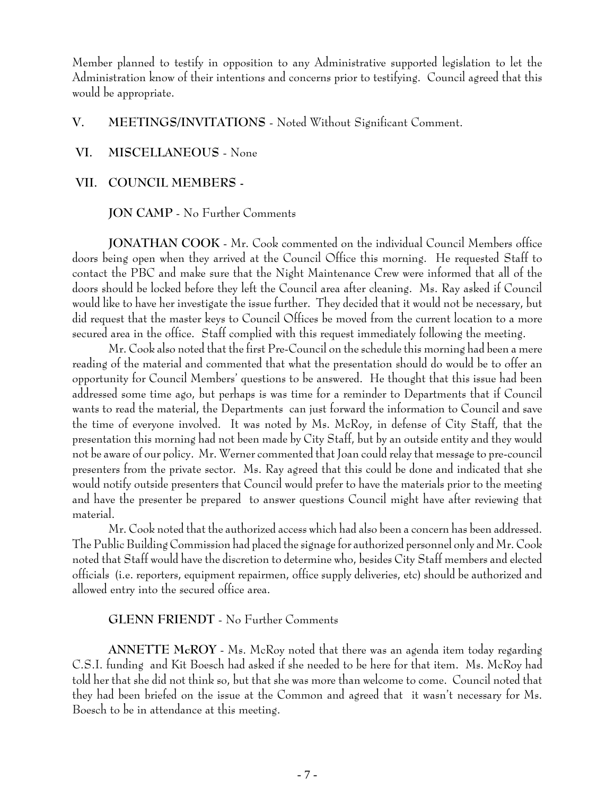Member planned to testify in opposition to any Administrative supported legislation to let the Administration know of their intentions and concerns prior to testifying. Council agreed that this would be appropriate.

#### **V. MEETINGS/INVITATIONS** - Noted Without Significant Comment.

#### **VI. MISCELLANEOUS** - None

### **VII. COUNCIL MEMBERS -**

#### **JON CAMP** - No Further Comments

**JONATHAN COOK** - Mr. Cook commented on the individual Council Members office doors being open when they arrived at the Council Office this morning. He requested Staff to contact the PBC and make sure that the Night Maintenance Crew were informed that all of the doors should be locked before they left the Council area after cleaning. Ms. Ray asked if Council would like to have her investigate the issue further. They decided that it would not be necessary, but did request that the master keys to Council Offices be moved from the current location to a more secured area in the office. Staff complied with this request immediately following the meeting.

Mr. Cook also noted that the first Pre-Council on the schedule this morning had been a mere reading of the material and commented that what the presentation should do would be to offer an opportunity for Council Members' questions to be answered. He thought that this issue had been addressed some time ago, but perhaps is was time for a reminder to Departments that if Council wants to read the material, the Departments can just forward the information to Council and save the time of everyone involved. It was noted by Ms. McRoy, in defense of City Staff, that the presentation this morning had not been made by City Staff, but by an outside entity and they would not be aware of our policy. Mr. Werner commented that Joan could relay that message to pre-council presenters from the private sector. Ms. Ray agreed that this could be done and indicated that she would notify outside presenters that Council would prefer to have the materials prior to the meeting and have the presenter be prepared to answer questions Council might have after reviewing that material.

Mr. Cook noted that the authorized access which had also been a concern has been addressed. The Public Building Commission had placed the signage for authorized personnel only and Mr. Cook noted that Staff would have the discretion to determine who, besides City Staff members and elected officials (i.e. reporters, equipment repairmen, office supply deliveries, etc) should be authorized and allowed entry into the secured office area.

### **GLENN FRIENDT** - No Further Comments

**ANNETTE McROY** - Ms. McRoy noted that there was an agenda item today regarding C.S.I. funding and Kit Boesch had asked if she needed to be here for that item. Ms. McRoy had told her that she did not think so, but that she was more than welcome to come. Council noted that they had been briefed on the issue at the Common and agreed that it wasn't necessary for Ms. Boesch to be in attendance at this meeting.